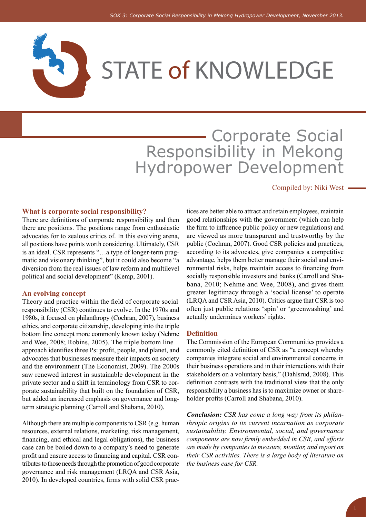

# **- Corporate Social** Responsibility in Mekong Hydropower Development

#### Compiled by: Niki West

#### **What is corporate social responsibility?**

There are definitions of corporate responsibility and then there are positions. The positions range from enthusiastic advocates for to zealous critics of. In this evolving arena, all positions have points worth considering. Ultimately, CSR is an ideal. CSR represents "…a type of longer-term pragmatic and visionary thinking", but it could also become "a diversion from the real issues of law reform and multilevel political and social development" (Kemp, 2001).

#### **An evolving concept**

Theory and practice within the field of corporate social responsibility (CSR) continues to evolve. In the 1970s and 1980s, it focused on philanthropy (Cochran, 2007), business ethics, and corporate citizenship, developing into the triple bottom line concept more commonly known today (Nehme and Wee, 2008; Robins, 2005). The triple bottom line approach identifies three Ps: profit, people, and planet, and advocates that businesses measure their impacts on society and the environment (The Economist, 2009). The 2000s saw renewed interest in sustainable development in the private sector and a shift in terminology from CSR to corporate sustainability that built on the foundation of CSR, but added an increased emphasis on governance and longterm strategic planning (Carroll and Shabana, 2010).

Although there are multiple components to CSR (e.g. human resources, external relations, marketing, risk management, financing, and ethical and legal obligations), the business case can be boiled down to a company's need to generate profit and ensure access to financing and capital. CSR contributes to those needs through the promotion of good corporate governance and risk management (LRQA and CSR Asia, 2010). In developed countries, firms with solid CSR practices are better able to attract and retain employees, maintain good relationships with the government (which can help the firm to influence public policy or new regulations) and are viewed as more transparent and trustworthy by the public (Cochran, 2007). Good CSR policies and practices, according to its advocates, give companies a competitive advantage, helps them better manage their social and environmental risks, helps maintain access to financing from socially responsible investors and banks (Carroll and Shabana, 2010; Nehme and Wee, 2008), and gives them greater legitimacy through a 'social license' to operate (LRQA and CSR Asia, 2010). Critics argue that CSR is too often just public relations 'spin' or 'greenwashing' and actually undermines workers' rights.

#### **Definition**

The Commission of the European Communities provides a commonly cited definition of CSR as "a concept whereby companies integrate social and environmental concerns in their business operations and in their interactions with their stakeholders on a voluntary basis," (Dahlsrud, 2008). This definition contrasts with the traditional view that the only responsibility a business has is to maximize owner or shareholder profits (Carroll and Shabana, 2010).

*Conclusion: CSR has come a long way from its philanthropic origins to its current incarnation as corporate sustainability. Environmental, social, and governance components are now firmly embedded in CSR, and efforts are made by companies to measure, monitor, and report on their CSR activities. There is a large body of literature on the business case for CSR.*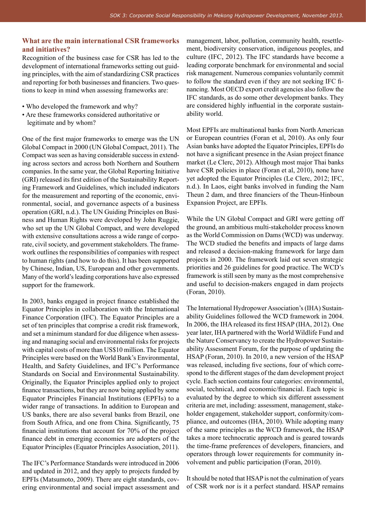### **What are the main international CSR frameworks and initiatives?**

Recognition of the business case for CSR has led to the development of international frameworks setting out guiding principles, with the aim of standardizing CSR practices and reporting for both businesses and financiers. Two questions to keep in mind when assessing frameworks are:

- Who developed the framework and why?
- Are these frameworks considered authoritative or legitimate and by whom?

One of the first major frameworks to emerge was the UN Global Compact in 2000 (UN Global Compact, 2011). The Compact was seen as having considerable success in extending across sectors and across both Northern and Southern companies. In the same year, the Global Reporting Initiative (GRI) released its first edition of the Sustainability Reporting Framework and Guidelines, which included indicators for the measurement and reporting of the economic, environmental, social, and governance aspects of a business operation (GRI, n.d.). The UN Guiding Principles on Business and Human Rights were developed by John Ruggie, who set up the UN Global Compact, and were developed with extensive consultations across a wide range of corporate, civil society, and government stakeholders. The framework outlines the responsibilities of companies with respect to human rights (and how to do this). It has been supported by Chinese, Indian, US, European and other governments. Many of the world's leading corporations have also expressed support for the framework.

In 2003, banks engaged in project finance established the Equator Principles in collaboration with the International Finance Corporation (IFC). The Equator Principles are a set of ten principles that comprise a credit risk framework, and set a minimum standard for due diligence when assessing and managing social and environmental risks for projects with capital costs of more than US\$10 million. The Equator Principles were based on the World Bank's Environmental, Health, and Safety Guidelines, and IFC's Performance Standards on Social and Environmental Sustainability. Originally, the Equator Principles applied only to project finance transactions, but they are now being applied by some Equator Principles Financial Institutions (EPFIs) to a wider range of transactions. In addition to European and US banks, there are also several banks from Brazil, one from South Africa, and one from China. Significantly, 75 financial institutions that account for 70% of the project finance debt in emerging economies are adopters of the Equator Principles (Equator Principles Association, 2011).

The IFC's Performance Standards were introduced in 2006 and updated in 2012, and they apply to projects funded by EPFIs (Matsumoto, 2009). There are eight standards, covering environmental and social impact assessment and management, labor, pollution, community health, resettlement, biodiversity conservation, indigenous peoples, and culture (IFC, 2012). The IFC standards have become a leading corporate benchmark for environmental and social risk management. Numerous companies voluntarily commit to follow the standard even if they are not seeking IFC financing. Most OECD export credit agencies also follow the IFC standards, as do some other development banks. They are considered highly influential in the corporate sustainability world.

Most EPFIs are multinational banks from North American or European countries (Foran et al, 2010). As only four Asian banks have adopted the Equator Principles, EPFIs do not have a significant presence in the Asian project finance market (Le Clerc, 2012). Although most major Thai banks have CSR policies in place (Foran et al, 2010), none have yet adopted the Equator Principles (Le Clerc, 2012; IFC, n.d.). In Laos, eight banks involved in funding the Nam Theun 2 dam, and three financiers of the Theun-Hinboun Expansion Project, are EPFIs.

While the UN Global Compact and GRI were getting off the ground, an ambitious multi-stakeholder process known as the World Commission on Dams (WCD) was underway. The WCD studied the benefits and impacts of large dams and released a decision-making framework for large dam projects in 2000. The framework laid out seven strategic priorities and 26 guidelines for good practice. The WCD's framework is still seen by many as the most comprehensive and useful to decision-makers engaged in dam projects (Foran, 2010).

The International Hydropower Association's (IHA) Sustainability Guidelines followed the WCD framework in 2004. In 2006, the IHA released its first HSAP (IHA, 2012). One year later, IHA partnered with the World Wildlife Fund and the Nature Conservancy to create the Hydropower Sustainability Assessment Forum, for the purpose of updating the HSAP (Foran, 2010). In 2010, a new version of the HSAP was released, including five sections, four of which correspond to the different stages of the dam development project cycle. Each section contains four categories: environmental, social, technical, and economic/financial. Each topic is evaluated by the degree to which six different assessment criteria are met, including: assessment, management, stakeholder engagement, stakeholder support, conformity/compliance, and outcomes (IHA, 2010). While adopting many of the same principles as the WCD framework, the HSAP takes a more technocratic approach and is geared towards the time-frame preferences of developers, financiers, and operators through lower requirements for community involvement and public participation (Foran, 2010).

It should be noted that HSAP is not the culmination of years of CSR work nor is it a perfect standard. HSAP remains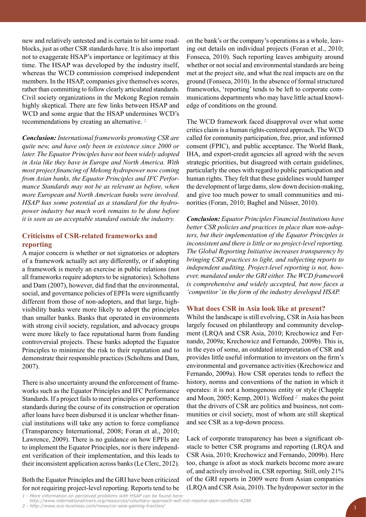new and relatively untested and is certain to hit some roadblocks, just as other CSR standards have. It is also important not to exaggerate HSAP's importance or legitimacy at this time. The HSAP was developed by the industry itself, whereas the WCD commission comprised independent members. In the HSAP, companies give themselves scores, rather than committing to follow clearly articulated standards. Civil society organizations in the Mekong Region remain highly skeptical. There are few links between HSAP and WCD and some argue that the HSAP undermines WCD's recommendations by creating an alternative. *<sup>1</sup>*

*Conclusion: International frameworks promoting CSR are quite new, and have only been in existence since 2000 or later. The Equator Principles have not been widely adopted in Asia like they have in Europe and North America. With most project financing of Mekong hydropower now coming from Asian banks, the Equator Principles and IFC Performance Standards may not be as relevant as before, when more European and North American banks were involved. HSAP has some potential as a standard for the hydropower industry but much work remains to be done before it is seen as an acceptable standard outside the industry.*

### **Criticisms of CSR-related frameworks and reporting**

A major concern is whether or not signatories or adopters of a framework actually act any differently, or if adopting a framework is merely an exercise in public relations (not all frameworks require adopters to be signatories). Scholtens and Dam (2007), however, did find that the environmental, social, and governance policies of EPFIs were significantly different from those of non-adopters, and that large, highvisibility banks were more likely to adopt the principles than smaller banks. Banks that operated in environments with strong civil society, regulation, and advocacy groups were more likely to face reputational harm from funding controversial projects. These banks adopted the Equator Principles to minimize the risk to their reputation and to demonstrate their responsible practices (Scholtens and Dam, 2007).

There is also uncertainty around the enforcement of frameworks such as the Equator Principles and IFC Performance Standards. If a project fails to meet principles or performance standards during the course of its construction or operation after loans have been disbursed it is unclear whether financial institutions will take any action to force compliance (Transparency International, 2008; Foran et al., 2010; Lawrence, 2009). There is no guidance on how EPFIs are to implement the Equator Principles, nor is there independent verification of their implementation, and this leads to their inconsistent application across banks (Le Clerc, 2012).

Both the Equator Principles and the GRI have been criticized for not requiring project-level reporting. Reports tend to be *1 - More information on perceived problems with HSAP can be found here:*

on the bank's or the company's operations as a whole, leaving out details on individual projects (Foran et al., 2010; Fonseca, 2010). Such reporting leaves ambiguity around whether or not social and environmental standards are being met at the project site, and what the real impacts are on the ground (Fonseca, 2010). In the absence of formal structured frameworks, 'reporting' tends to be left to corporate communications departments who may have little actual knowledge of conditions on the ground.

The WCD framework faced disapproval over what some critics claim is a human rights-centered approach. The WCD called for community participation, free, prior, and informed consent (FPIC), and public acceptance. The World Bank, IHA, and export-credit agencies all agreed with the seven strategic priorities, but disagreed with certain guidelines, particularly the ones with regard to public participation and human rights. They felt that these guidelines would hamper the development of large dams, slow down decision-making, and give too much power to small communities and minorities (Foran, 2010; Baghel and Nüsser, 2010).

*Conclusion: Equator Principles Financial Institutions have better CSR policies and practices in place than non-adopters, but their implementation of the Equator Principles is inconsistent and there is little or no project-level reporting. The Global Reporting Initiative increases transparency by bringing CSR practices to light, and subjecting reports to independent auditing. Project-level reporting is not, however, mandated under the GRI either. The WCD framework is comprehensive and widely accepted, but now faces a 'competitor' in the form of the industry developed HSAP.* 

#### **What does CSR in Asia look like at present?**

Whilst the landscape is still evolving, CSR in Asia has been largely focused on philanthropy and community development (LRQA and CSR Asia, 2010; Krechowicz and Fernando, 2009a; Krechowicz and Fernando, 2009b). This is, in the eyes of some, an outdated interpretation of CSR and provides little useful information to investors on the firm's environmental and governance activities (Krechowicz and Fernando, 2009a). How CSR operates tends to reflect the history, norms and conventions of the nation in which it operates: it is not a homogenous entity or style (Chapple and Moon, 2005; Kemp, 2001). Welford *<sup>2</sup>* makes the point that the drivers of CSR are politics and business, not communities or civil society, most of whom are still skeptical and see CSR as a top-down process.

Lack of corporate transparency has been a significant obstacle to better CSR programs and reporting (LRQA and CSR Asia, 2010; Krechowicz and Fernando, 2009b). Here too, change is afoot as stock markets become more aware of, and actively involved in, CSR reporting. Still, only 21% of the GRI reports in 2009 were from Asian companies (LRQA and CSR Asia, 2010). The hydropower sector in the

*http://www.internationalrivers.org/resources/voluntary-approach-will-not-resolve-dam-conflicts-4286*

*<sup>2 -</sup> http://www.eco-business.com/news/csr-asia-gaining-traction/*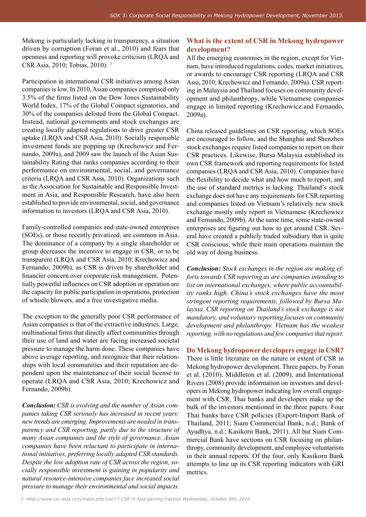Mekong is particularly lacking in transparency, a situation driven by corruption (Foran et al., 2010) and fears that openness and reporting will provoke criticism (LRQA and CSR Asia, 2010; Tobias, 2010). *<sup>3</sup>*

Participation in international CSR initiatives among Asian companies is low. In 2010, Asian companies comprised only 3.5% of the firms listed on the Dow Jones Sustainability World Index, 17% of the Global Compact signatories, and 30% of the companies delisted from the Global Compact. Instead, national governments and stock exchanges are creating locally adapted regulations to drive greater CSR uptake (LRQA and CSR Asia, 2010). Socially responsible investment funds are popping up (Krechowicz and Fernando, 2009a), and 2009 saw the launch of the Asian Sustainability Rating that ranks companies according to their performance on environmental, social, and governance criteria (LRQA and CSR Asia, 2010). Organizations such as the Association for Sustainable and Responsible Investment in Asia, and Responsible Research, have also been established to provide environmental, social, and governance information to investors (LRQA and CSR Asia, 2010).

Family-controlled companies and state-owned enterprises (SOEs), or those recently privatized, are common in Asia. The dominance of a company by a single shareholder or group decreases the incentive to engage in CSR, or to be transparent (LRQA and CSR Asia, 2010; Krechowicz and Fernando, 2009b), as CSR is driven by shareholder and financier concern over corporate risk management. Potentially powerful influences on CSR adoption or operation are the capacity for public participation in operations, protection of whistle blowers, and a free investigative media.

The exception to the generally poor CSR performance of Asian companies is that of the extractive industries. Large, multinational firms that directly affect communities through their use of land and water are facing increased societal pressure to manage the harm done. These companies have above average reporting, and recognize that their relationships with local communities and their reputation are dependent upon the maintenance of their social license to operate (LRQA and CSR Asia, 2010; Krechowicz and Fernando, 2009b).

*Conclusion: CSR is evolving and the number of Asian companies taking CSR seriously has increased in recent years: new trends are emerging. Improvements are needed in transparency and CSR reporting, partly due to the structure of many Asian companies and the style of governance. Asian companies have been reluctant to participate in international initiatives, preferring locally adapted CSR standards. Despite the low adoption rate of CSR across the region, socially responsible investment is gaining in popularity and natural resource-intensive companies face increased social pressure to manage their environmental and social impacts.* 

# **What is the extent of CSR in Mekong hydropower development?**

All the emerging economies in the region, except for Vietnam, have introduced regulations, codes, market initiatives, or awards to encourage CSR reporting (LRQA and CSR Asia, 2010; Krechowicz and Fernando, 2009a). CSR reporting in Malaysia and Thailand focuses on community development and philanthropy, while Vietnamese companies engage in limited reporting (Krechowicz and Fernando, 2009a).

China released guidelines on CSR reporting, which SOEs are encouraged to follow, and the Shanghai and Shenzhen stock exchanges require listed companies to report on their CSR practices. Likewise, Bursa Malaysia established its own CSR framework and reporting requirements for listed companies (LRQA and CSR Asia, 2010). Companies have the flexibility to decide what and how much to report, and the use of standard metrics is lacking. Thailand's stock exchange does not have any requirements for CSR reporting and companies listed on Vietnam's relatively new stock exchange mostly only report in Vietnamese (Krechowicz and Fernando, 2009b). At the same time, some state-owned enterprises are figuring out how to get around CSR. Several have created a publicly traded subsidiary that is quite CSR conscious, while their main operations maintain the old way of doing business.

*Conclusion: Stock exchanges in the region are making efforts towards CSR reporting as are companies intending to list on international exchanges, where public accountability ranks high. China's stock exchanges have the most stringent reporting requirements, followed by Bursa Malaysia. CSR reporting on Thailand's stock exchange is not mandatory, and voluntary reporting focuses on community development and philanthropy. Vietnam has the weakest reporting, with no regulations and few companies that report.* 

**Do Mekong hydropower developers engage in CSR?** There is little literature on the nature or extent of CSR in Mekong hydropower development. Three papers, by Foran et al. (2010), Middleton et al. (2009), and International Rivers (2008) provide information on investors and developers in Mekong hydropower indicating low overall engagement with CSR. Thai banks and developers make up the bulk of the investors mentioned in the three papers. Four Thai banks have CSR policies (Export-Import Bank of Thailand, 2011; Siam Commercial Bank, n.d.; Bank of Ayudhya, n.d.; Kasikorn Bank, 2011). All but Siam Commercial Bank have sections on CSR focusing on philanthropy, community development, and employee voluntarism in their annual reports. Of the four, only Kasikorn Bank attempts to line up its CSR reporting indicators with GRI metrics.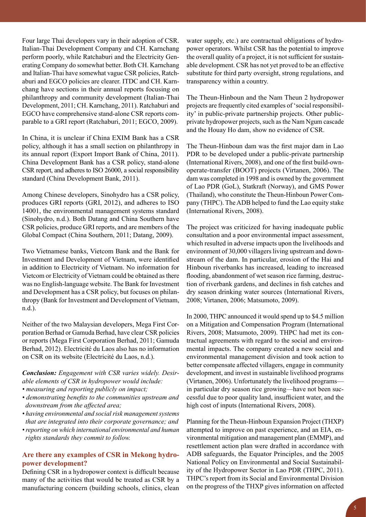Four large Thai developers vary in their adoption of CSR. Italian-Thai Development Company and CH. Karnchang perform poorly, while Ratchaburi and the Electricity Generating Company do somewhat better. Both CH. Karnchang and Italian-Thai have somewhat vague CSR policies, Ratchaburi and EGCO policies are clearer. ITDC and CH. Karnchang have sections in their annual reports focusing on philanthropy and community development (Italian-Thai Development, 2011; CH. Karnchang, 2011). Ratchaburi and EGCO have comprehensive stand-alone CSR reports comparable to a GRI report (Ratchaburi, 2011; EGCO, 2009).

In China, it is unclear if China EXIM Bank has a CSR policy, although it has a small section on philanthropy in its annual report (Export Import Bank of China, 2011). China Development Bank has a CSR policy, stand-alone CSR report, and adheres to ISO 26000, a social responsibility standard (China Development Bank, 2011).

Among Chinese developers, Sinohydro has a CSR policy, produces GRI reports (GRI, 2012), and adheres to ISO 14001, the environmental management systems standard (Sinohydro, n.d.). Both Datang and China Southern have CSR policies, produce GRI reports, and are members of the Global Compact (China Southern, 2011; Datang, 2009).

Two Vietnamese banks, Vietcom Bank and the Bank for Investment and Development of Vietnam, were identified in addition to Electricity of Vietnam. No information for Vietcom or Electricity of Vietnam could be obtained as there was no English-language website. The Bank for Investment and Development has a CSR policy, but focuses on philanthropy (Bank for Investment and Development of Vietnam, n.d.).

Neither of the two Malaysian developers, Mega First Corporation Berhad or Gamuda Berhad, have clear CSR policies or reports (Mega First Corporation Berhad, 2011; Gamuda Berhad, 2012). Electricité du Laos also has no information on CSR on its website (Electricité du Laos, n.d.).

# *Conclusion: Engagement with CSR varies widely. Desirable elements of CSR in hydropower would include:*

- *measuring and reporting publicly on impact;*
- *demonstrating benefits to the communities upstream and downstream from the affected area;*
- *having environmental and social risk management systems that are integrated into their corporate governance; and*
- *reporting on which international environmental and human rights standards they commit to follow.*

# **Are there any examples of CSR in Mekong hydropower development?**

Defining CSR in a hydropower context is difficult because many of the activities that would be treated as CSR by a manufacturing concern (building schools, clinics, clean

water supply, etc.) are contractual obligations of hydropower operators. Whilst CSR has the potential to improve the overall quality of a project, it is not sufficient for sustainable development. CSR has not yet proved to be an effective substitute for third party oversight, strong regulations, and transparency within a country.

The Theun-Hinboun and the Nam Theun 2 hydropower projects are frequently cited examples of 'social responsibility' in public-private partnership projects. Other publicprivate hydropower projects, such as the Nam Ngum cascade and the Houay Ho dam, show no evidence of CSR.

The Theun-Hinboun dam was the first major dam in Lao PDR to be developed under a public-private partnership (International Rivers, 2008), and one of the first build-ownoperate-transfer (BOOT) projects (Virtanen, 2006). The dam was completed in 1998 and is owned by the government of Lao PDR (GoL), Statkraft (Norway), and GMS Power (Thailand), who constitute the Theun-Hinboun Power Company (THPC). The ADB helped to fund the Lao equity stake (International Rivers, 2008).

The project was criticized for having inadequate public consultation and a poor environmental impact assessment, which resulted in adverse impacts upon the livelihoods and environment of 30,000 villagers living upstream and downstream of the dam. In particular, erosion of the Hai and Hinboun riverbanks has increased, leading to increased flooding, abandonment of wet season rice farming, destruction of riverbank gardens, and declines in fish catches and dry season drinking water sources (International Rivers, 2008; Virtanen, 2006; Matsumoto, 2009).

In 2000, THPC announced it would spend up to \$4.5 million on a Mitigation and Compensation Program (International Rivers, 2008; Matsumoto, 2009). THPC had met its contractual agreements with regard to the social and environmental impacts. The company created a new social and environmental management division and took action to better compensate affected villagers, engage in community development, and invest in sustainable livelihood programs (Virtanen, 2006). Unfortunately the livelihood programs in particular dry season rice growing—have not been successful due to poor quality land, insufficient water, and the high cost of inputs (International Rivers, 2008).

Planning for the Theun-Hinboun Expansion Project (THXP) attempted to improve on past experience, and an EIA, environmental mitigation and management plan (EMMP), and resettlement action plan were drafted in accordance with ADB safeguards, the Equator Principles, and the 2005 National Policy on Environmental and Social Sustainability of the Hydropower Sector in Lao PDR (THPC, 2011). THPC's report from its Social and Environmental Division on the progress of the THXP gives information on affected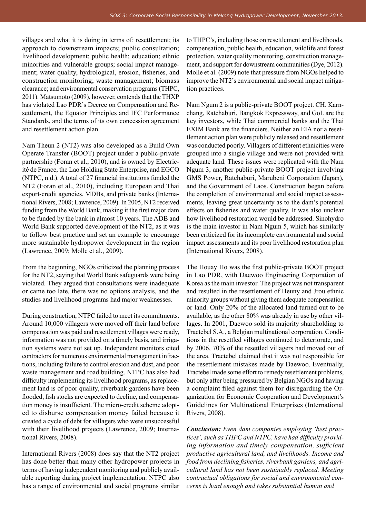villages and what it is doing in terms of: resettlement; its approach to downstream impacts; public consultation; livelihood development; public health; education; ethnic minorities and vulnerable groups; social impact management; water quality, hydrological, erosion, fisheries, and construction monitoring; waste management; biomass clearance; and environmental conservation programs (THPC, 2011). Matsumoto (2009), however, contends that the THXP has violated Lao PDR's Decree on Compensation and Resettlement, the Equator Principles and IFC Performance Standards, and the terms of its own concession agreement and resettlement action plan.

Nam Theun 2 (NT2) was also developed as a Build Own Operate Transfer (BOOT) project under a public-private partnership (Foran et al., 2010), and is owned by Electricité de France, the Lao Holding State Enterprise, and EGCO (NTPC, n.d.). A total of 27 financial institutions funded the NT2 (Foran et al., 2010), including European and Thai export-credit agencies, MDBs, and private banks (International Rivers, 2008; Lawrence, 2009). In 2005, NT2 received funding from the World Bank, making it the first major dam to be funded by the bank in almost 10 years. The ADB and World Bank supported development of the NT2, as it was to follow best practice and set an example to encourage more sustainable hydropower development in the region (Lawrence, 2009; Molle et al., 2009).

From the beginning, NGOs criticized the planning process for the NT2, saying that World Bank safeguards were being violated. They argued that consultations were inadequate or came too late, there was no options analysis, and the studies and livelihood programs had major weaknesses.

During construction, NTPC failed to meet its commitments. Around 10,000 villagers were moved off their land before compensation was paid and resettlement villages were ready, information was not provided on a timely basis, and irrigation systems were not set up. Independent monitors cited contractors for numerous environmental management infractions, including failure to control erosion and dust, and poor waste management and road building. NTPC has also had difficulty implementing its livelihood programs, as replacement land is of poor quality, riverbank gardens have been flooded, fish stocks are expected to decline, and compensation money is insufficient. The micro-credit scheme adopted to disburse compensation money failed because it created a cycle of debt for villagers who were unsuccessful with their livelihood projects (Lawrence, 2009; International Rivers, 2008).

International Rivers (2008) does say that the NT2 project has done better than many other hydropower projects in terms of having independent monitoring and publicly available reporting during project implementation. NTPC also has a range of environmental and social programs similar to THPC's, including those on resettlement and livelihoods, compensation, public health, education, wildlife and forest protection, water quality monitoring, construction management, and support for downstream communities (Dye, 2012). Molle et al. (2009) note that pressure from NGOs helped to improve the NT2's environmental and social impact mitigation practices.

Nam Ngum 2 is a public-private BOOT project. CH. Karnchang, Ratchaburi, Bangkok Expressway, and GoL are the key investors, while Thai commercial banks and the Thai EXIM Bank are the financiers. Neither an EIA nor a resettlement action plan were publicly released and resettlement was conducted poorly. Villagers of different ethnicities were grouped into a single village and were not provided with adequate land. These issues were replicated with the Nam Ngum 3, another public-private BOOT project involving GMS Power, Ratchaburi, Marubeni Corporation (Japan), and the Government of Laos. Construction began before the completion of environmental and social impact assessments, leaving great uncertainty as to the dam's potential effects on fisheries and water quality. It was also unclear how livelihood restoration would be addressed. Sinohydro is the main investor in Nam Ngum 5, which has similarly been criticized for its incomplete environmental and social impact assessments and its poor livelihood restoration plan (International Rivers, 2008).

The Houay Ho was the first public-private BOOT project in Lao PDR, with Daewoo Engineering Corporation of Korea as the main investor. The project was not transparent and resulted in the resettlement of Heuny and Jrou ethnic minority groups without giving them adequate compensation or land. Only 20% of the allocated land turned out to be available, as the other 80% was already in use by other villages. In 2001, Daewoo sold its majority shareholding to Tractebel S.A., a Belgian multinational corporation. Conditions in the resettled villages continued to deteriorate, and by 2006, 70% of the resettled villagers had moved out of the area. Tractebel claimed that it was not responsible for the resettlement mistakes made by Daewoo. Eventually, Tractebel made some effort to remedy resettlement problems, but only after being pressured by Belgian NGOs and having a complaint filed against them for disregarding the Organization for Economic Cooperation and Development's Guidelines for Multinational Enterprises (International Rivers, 2008).

*Conclusion: Even dam companies employing 'best practices', such as THPC and NTPC, have had difficulty providing information and timely compensation, sufficient productive agricultural land, and livelihoods. Income and food from declining fisheries, riverbank gardens, and agricultural land has not been sustainably replaced. Meeting contractual obligations for social and environmental concerns is hard enough and takes substantial human and*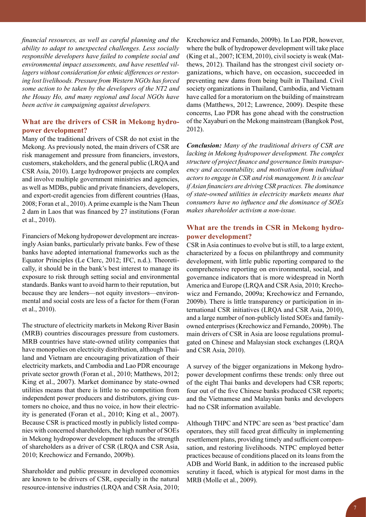*financial resources, as well as careful planning and the ability to adapt to unexpected challenges. Less socially responsible developers have failed to complete social and environmental impact assessments, and have resettled villagers without consideration for ethnic differences or restoring lost livelihoods. Pressure from Western NGOs has forced some action to be taken by the developers of the NT2 and the Houay Ho, and many regional and local NGOs have been active in campaigning against developers.*

# **What are the drivers of CSR in Mekong hydropower development?**

Many of the traditional drivers of CSR do not exist in the Mekong. As previously noted, the main drivers of CSR are risk management and pressure from financiers, investors, customers, stakeholders, and the general public (LRQA and CSR Asia, 2010). Large hydropower projects are complex and involve multiple government ministries and agencies, as well as MDBs, public and private financiers, developers, and export-credit agencies from different countries (Haas, 2008; Foran et al., 2010). A prime example is the Nam Theun 2 dam in Laos that was financed by 27 institutions (Foran et al., 2010).

Financiers of Mekong hydropower development are increasingly Asian banks, particularly private banks. Few of these banks have adopted international frameworks such as the Equator Principles (Le Clerc, 2012; IFC, n.d.). Theoretically, it should be in the bank's best interest to manage its exposure to risk through setting social and environmental standards. Banks want to avoid harm to their reputation, but because they are lenders—not equity investors—environmental and social costs are less of a factor for them (Foran et al., 2010).

The structure of electricity markets in Mekong River Basin (MRB) countries discourages pressure from customers. MRB countries have state-owned utility companies that have monopolies on electricity distribution, although Thailand and Vietnam are encouraging privatization of their electricity markets, and Cambodia and Lao PDR encourage private sector growth (Foran et al., 2010; Matthews, 2012; King et al., 2007). Market dominance by state-owned utilities means that there is little to no competition from independent power producers and distributors, giving customers no choice, and thus no voice, in how their electricity is generated (Foran et al., 2010; King et al., 2007). Because CSR is practiced mostly in publicly listed companies with concerned shareholders, the high number of SOEs in Mekong hydropower development reduces the strength of shareholders as a driver of CSR (LRQA and CSR Asia, 2010; Krechowicz and Fernando, 2009b).

Shareholder and public pressure in developed economies are known to be drivers of CSR, especially in the natural resource-intensive industries (LRQA and CSR Asia, 2010;

Krechowicz and Fernando, 2009b). In Lao PDR, however, where the bulk of hydropower development will take place (King et al., 2007; ICEM, 2010), civil society is weak (Matthews, 2012). Thailand has the strongest civil society organizations, which have, on occasion, succeeded in preventing new dams from being built in Thailand. Civil society organizations in Thailand, Cambodia, and Vietnam have called for a moratorium on the building of mainstream dams (Matthews, 2012; Lawrence, 2009). Despite these concerns, Lao PDR has gone ahead with the construction of the Xayaburi on the Mekong mainstream (Bangkok Post, 2012).

*Conclusion: Many of the traditional drivers of CSR are lacking in Mekong hydropower development. The complex structure of project finance and governance limits transparency and accountability, and motivation from individual actors to engage in CSR and risk management. It is unclear if Asian financiers are driving CSR practices. The dominance of state-owned utilities in electricity markets means that consumers have no influence and the dominance of SOEs makes shareholder activism a non-issue.* 

# **What are the trends in CSR in Mekong hydropower development?**

CSR in Asia continues to evolve but is still, to a large extent, characterized by a focus on philanthropy and community development, with little public reporting compared to the comprehensive reporting on environmental, social, and governance indicators that is more widespread in North America and Europe (LRQA and CSR Asia, 2010; Krechowicz and Fernando, 2009a; Krechowicz and Fernando, 2009b). There is little transparency or participation in international CSR initiatives (LRQA and CSR Asia, 2010), and a large number of non-publicly listed SOEs and familyowned enterprises (Krechowicz and Fernando, 2009b). The main drivers of CSR in Asia are loose regulations promulgated on Chinese and Malaysian stock exchanges (LRQA and CSR Asia, 2010).

A survey of the bigger organizations in Mekong hydropower development confirms these trends: only three out of the eight Thai banks and developers had CSR reports; four out of the five Chinese banks produced CSR reports; and the Vietnamese and Malaysian banks and developers had no CSR information available.

Although THPC and NTPC are seen as 'best practice' dam operators, they still faced great difficulty in implementing resettlement plans, providing timely and sufficient compensation, and restoring livelihoods. NTPC employed better practices because of conditions placed on its loans from the ADB and World Bank, in addition to the increased public scrutiny it faced, which is atypical for most dams in the MRB (Molle et al., 2009).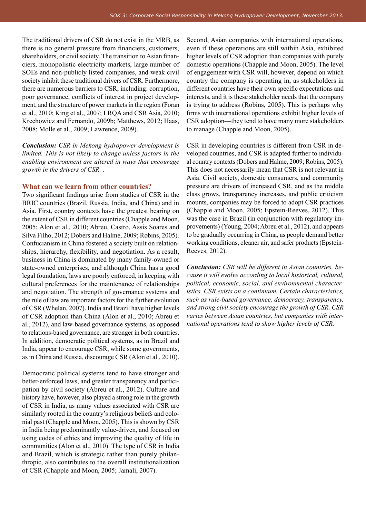The traditional drivers of CSR do not exist in the MRB, as there is no general pressure from financiers, customers, shareholders, or civil society. The transition to Asian financiers, monopolistic electricity markets, large number of SOEs and non-publicly listed companies, and weak civil society inhibit these traditional drivers of CSR. Furthermore, there are numerous barriers to CSR, including: corruption, poor governance, conflicts of interest in project development, and the structure of power markets in the region (Foran et al., 2010; King et al., 2007; LRQA and CSR Asia, 2010; Krechowicz and Fernando, 2009b; Matthews, 2012; Haas, 2008; Molle et al., 2009; Lawrence, 2009).

*Conclusion: CSR in Mekong hydropower development is limited. This is not likely to change unless factors in the enabling environment are altered in ways that encourage growth in the drivers of CSR. .* 

#### **What can we learn from other countries?**

Two significant findings arise from studies of CSR in the BRIC countries (Brazil, Russia, India, and China) and in Asia. First, country contexts have the greatest bearing on the extent of CSR in different countries (Chapple and Moon, 2005; Alon et al., 2010; Abreu, Castro, Assis Soares and Silva Filho, 2012; Dobers and Halme, 2009; Robins, 2005). Confucianism in China fostered a society built on relationships, hierarchy, flexibility, and negotiation. As a result, business in China is dominated by many family-owned or state-owned enterprises, and although China has a good legal foundation, laws are poorly enforced, in keeping with cultural preferences for the maintenance of relationships and negotiation. The strength of governance systems and the rule of law are important factors for the further evolution of CSR (Whelan, 2007). India and Brazil have higher levels of CSR adoption than China (Alon et al., 2010; Abreu et al., 2012), and law-based governance systems, as opposed to relations-based governance, are stronger in both countries. In addition, democratic political systems, as in Brazil and India, appear to encourage CSR, while some governments, as in China and Russia, discourage CSR (Alon et al., 2010).

Democratic political systems tend to have stronger and better-enforced laws, and greater transparency and participation by civil society (Abreu et al., 2012). Culture and history have, however, also played a strong role in the growth of CSR in India, as many values associated with CSR are similarly rooted in the country's religious beliefs and colonial past (Chapple and Moon, 2005). This is shown by CSR in India being predominantly value-driven, and focused on using codes of ethics and improving the quality of life in communities (Alon et al., 2010). The type of CSR in India and Brazil, which is strategic rather than purely philanthropic, also contributes to the overall institutionalization of CSR (Chapple and Moon, 2005; Jamali, 2007).

Second, Asian companies with international operations, even if these operations are still within Asia, exhibited higher levels of CSR adoption than companies with purely domestic operations (Chapple and Moon, 2005). The level of engagement with CSR will, however, depend on which country the company is operating in, as stakeholders in different countries have their own specific expectations and interests, and it is these stakeholder needs that the company is trying to address (Robins, 2005). This is perhaps why firms with international operations exhibit higher levels of CSR adoption—they tend to have many more stakeholders to manage (Chapple and Moon, 2005).

CSR in developing countries is different from CSR in developed countries, and CSR is adapted further to individual country contexts (Dobers and Halme, 2009; Robins, 2005). This does not necessarily mean that CSR is not relevant in Asia. Civil society, domestic consumers, and community pressure are drivers of increased CSR, and as the middle class grows, transparency increases, and public criticism mounts, companies may be forced to adopt CSR practices (Chapple and Moon, 2005; Epstein-Reeves, 2012). This was the case in Brazil (in conjunction with regulatory improvements) (Young, 2004; Abreu et al., 2012), and appears to be gradually occurring in China, as people demand better working conditions, cleaner air, and safer products (Epstein-Reeves, 2012).

*Conclusion: CSR will be different in Asian countries, because it will evolve according to local historical, cultural, political, economic, social, and environmental characteristics. CSR exists on a continuum. Certain characteristics, such as rule-based governance, democracy, transparency, and strong civil society encourage the growth of CSR. CSR varies between Asian countries, but companies with international operations tend to show higher levels of CSR.*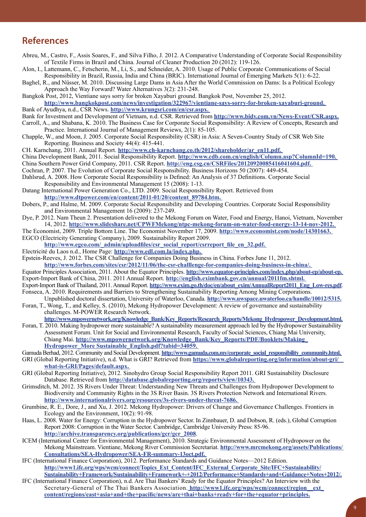# **References**

- Abreu, M., Castro, F., Assis Soares, F., and Silva Filho, J. 2012. A Comparative Understanding of Corporate Social Responsibility of Textile Firms in Brazil and China. Journal of Cleaner Production 20 (2012): 119-126.
- Alon, I., Lattemann, C., Fetscherin, M., Li, S., and Schneider, A. 2010. Usage of Public Corporate Communications of Social Responsibility in Brazil, Russia, India and China (BRIC). International Journal of Emerging Markets 5(1): 6-22.
- Baghel, R., and Nüsser, M. 2010. Discussing Large Dams in Asia After the World Commission on Dams: Is a Political Ecology Approach the Way Forward? Water Alternatives 3(2): 231-248.
- Bangkok Post, 2012, Vientiane says sorry for broken Xayaburi ground. Bangkok Post, November 25, 2012. **http://www.bangkokpost.com/news/investigation/322967/vientiane-says-sorry-for-broken-xayaburi-ground.**
- Bank of Ayudhya, n.d., CSR News. **http://www.krungsri.com/en/csr.aspx.**
- Bank for Investment and Development of Vietnam, n.d. CSR. Retrieved from **http://www.bidv.com.vn/News-Event/CSR.aspx.**
- Carroll, A., and Shabana, K. 2010. The Business Case for Corporate Social Responsibility: A Review of Concepts, Research and Practice. International Journal of Management Reviews, 2(1): 85-105.
- Chapple, W., and Moon, J. 2005. Corporate Social Responsibility (CSR) in Asia: A Seven-Country Study of CSR Web Site Reporting. Business and Society 44(4): 415-441.
- CH. Karnchang, 2011. Annual Report. **http://www.ch-karnchang.co.th/2012/shareholder/ar\_en11.pdf.**
- China Development Bank, 2011. Social Responsibility Report. **http://www.cdb.com.cn/english/Column.asp?ColumnId=190.**  China Southern Power Grid Company, 2011. CSR Report. **http://eng.csg.cn/CSRFiles/20120920085416041604.pdf.**
- Cochran, P. 2007. The Evolution of Corporate Social Responsibility. Business Horizons 50 (2007): 449-454. Dahlsrud, A. 2008. How Corporate Social Responsibility is Defined: An Analysis of 37 Definitions. Corporate Social
- Responsibility and Environmental Management 15 (2008): 1-13.
- Datang International Power Generation Co., LTD. 2009. Social Responsibility Report. Retrieved from **http://www.dtpower.com/en/content/2011-01/20/content\_89784.htm.**
- Dobers, P., and Halme, M. 2009. Corporate Social Responsibility and Developing Countries. Corporate Social Responsibility and Environmental Management 16 (2009): 237-249.
- Dye, P. 2012. Nam Theun 2. Presentation delivered to the Mekong Forum on Water, Food and Energy, Hanoi, Vietnam, November 14, 2012. **http://www.slideshare.net/CPWFMekong/ntpc-mekong-forum-on-water-food-energy-13-14-nov-2012.**
- The Economist, 2009. Triple Bottom Line. The Economist November 17, 2009. **http://www.economist.com/node/14301663.**  EGCO (Electricity Generating Company), 2009. Sustainability Report 2009.
- **http://www.egco.com/\_admin/uploadfiles/csr\_social\_report/csrreport\_file\_en\_32.pdf.**  Electricité du Laos n.d., Home Page: **http://www.edl.com.la/index.php.**
- Epstein-Reeves, J. 2012. The CSR Challenge for Companies Doing Business in China. Forbes June 11, 2012.
	- **http://www.forbes.com/sites/csr/2012/11/06/the-csr-challlenge-for-companies-doing-business-in-china/.**
- Equator Principles Association, 2011. About the Equator Principles. **http://www.equator-principles.com/index.php/about-ep/about-ep.**  Export-Import Bank of China, 2011. 2011 Annual Report. **http://english.eximbank.gov.cn/annual/2011fm.shtml.**
- Export-Import Bank of Thailand, 2011. Annual Report. **http://www.exim.go.th/doc/en/about\_exim/AnnualReport2011\_Eng\_Low-res.pdf**. Fonseca, A. 2010. Requirements and Barriers to Strengthening Sustainability Reporting Among Mining Corporations.
- Unpublished doctoral dissertation, University of Waterloo, Canada. **http://www.uwspace.uwaterloo.ca/handle/10012/5315.** Foran, T., Wong, T., and Kelley, S. (2010), Mekong Hydropower Development: A review of governance and sustainability challenges. M-POWER Research Network.
- **http://www.mpowernetwork.org/Knowledge\_Bank/Key\_Reports/Research\_Reports/Mekong\_Hydropower\_Development.html.**
- Foran, T. 2010. Making hydropower more sustainable? A sustainability measurement approach led by the Hydropower Sustainability Assessment Forum. Unit for Social and Environmental Research, Faculty of Social Sciences, Chiang Mai University, Chiang Mai. **http://www.mpowernetwork.org/Knowledge\_Bank/Key\_Reports/PDF/Booklets/Making\_ Hydropower\_More Sustainable\_English.pdf?tabid=34059.**
- Gamuda Berhad, 2012. Community and Social Development. **http://www.gamuda.com.my/corporate\_social\_responsibility\_community.html.**
- GRI (Global Reporting Initiative), n.d. What is GRI? Retrieved from **https://www.globalreporting.org/information/about-gri/ what-is-GRI/Pages/default.aspx.**
- GRI (Global Reporting Initiative), 2012. Sinohydro Group Social Responsibility Report 2011. GRI Sustainability Disclosure Database. Retrieved from **http://database.globalreporting.org/reports/view/10343.**
- Grimsditch, M. 2012. 3S Rivers Under Threat: Understanding New Threats and Challenges from Hydropower Development to Biodiversity and Community Rights in the 3S River Basin. 3S Rivers Protection Network and International Rivers. **http://www.internationalrivers.org/resources/3s-rivers-under-threat-7686.**
- Grumbine, R. E., Dore, J., and Xu, J. 2012. Mekong Hydropower: Drivers of Change and Governance Challenges. Frontiers in Ecology and the Environment, 10(2): 91-98.
- Haas, L. 2008. Water for Energy: Corruption in the Hydropower Sector. In Zinnbauer, D. and Dobson, R. (eds.), Global Corruption Report 2008: Corruption in the Water Sector. Cambridge, Cambridge University Press: 85-96. **http://archive.transparency.org/publications/gcr/gcr\_2008**.
- ICEM (International Center for Environmental Management), 2010. Strategic Environmental Assessment of Hydropower on the Mekong Mainstream. Vientiane, Mekong River Commission Secretariat. **http://www.mrcmekong.org/assets/Publications/ Consultations/SEA-Hydropower/SEA-FR-summary-13oct.pdf.**
- IFC (International Finance Corporation), 2012. Performance Standards and Guidance Notes—2012 Edition. **http://www1.ifc.org/wps/wcm/connect/Topics\_Ext\_Content/IFC\_External\_Corporate\_Site/IFC+Sustainability/ Sustainability+Framework/Sustainability+Framework+-+2012/Performance+Standards+and+Guidance+Notes+2012/.**
- IFC (International Finance Corporation), n.d. Are Thai Bankers' Ready for the Equator Principles? An Interview with the Secretary-General of The Thai Bankers Association. **http://www1.ifc.org/wps/wcm/connect/region\_\_ext\_ content/regions/east+asia+and+the+pacific/news/are+thai+banks+ready+for+the+equator+principles.**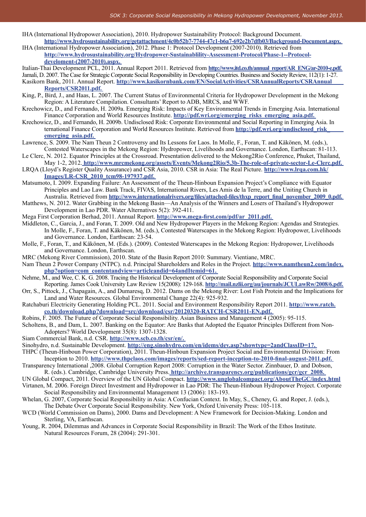- IHA (International Hydropower Association), 2010. Hydropower Sustainability Protocol: Background Document. **http://www.hydrosustainability.org/getattachment/4c0b52b7-7744-47c1-b6a7-692e2b7dfb03/Background-Document.aspx.**
- IHA (International Hydropower Association), 2012. Phase 1: Protocol Development (2007-2010). Retrieved from **http://www.hydrosustainability.org/Hydropower-Sustainablility-Assessment-Protocol/Phase-1--Protocoldeveloment-(2007-2010).aspx.**
- Italian-Thai Development PCL, 2011. Annual Report 2011. Retrieved from **http://www.itd.co.th/annual\_report/AR\_ENG/ar-2010-e.pdf.**

Jamali, D. 2007. The Case for Strategic Corporate Social Responsibility in Developing Countries. Business and Society Review, 112(1): 1-27.

- Kasikorn Bank, 2011. Annual Report. **http://www.kasikornbank.com/EN/SocialActivities/CSRAnnualReports/CSRAnnual Reports/CSR2011.pdf.**
- King, P., Bird, J., and Haas, L. 2007. The Current Status of Environmental Criteria for Hydropower Development in the Mekong Region: A Literature Compilation. Consultants' Report to ADB, MRCS, and WWF.
- Krechowicz, D., and Fernando, H. 2009a. Emerging Risk: Impacts of Key Environmental Trends in Emerging Asia. International Finance Corporation and World Resources Institute. **http://pdf.wri.org/emerging** risks emerging asia.pdf.
- Krechowicz, D., and Fernando, H. 2009b. Undisclosed Risk: Corporate Environmental and Social Reporting in Emerging Asia. In ternational Finance Corporation and World Resources Institute. Retrieved from **http://pdf.wri.org/undisclosed\_risk\_ emerging\_asia.pdf.**
- Lawrence, S. 2009. The Nam Theun 2 Controversy and Its Lessons for Laos. In Molle, F., Foran, T. and Käkönen, M. (eds.), Contested Waterscapes in the Mekong Region: Hydropower, Livelihoods and Governance. London, Earthscan: 81-113.
- Le Clerc, N. 2012. Equator Principles at the Crossroad. Presentation delivered to the Mekong2Rio Conference, Phuket, Thailand, May 1-2, 2012. **http://www.mrcmekong.org/assets/Events/Mekong2Rio/5.3b-The-role-of-private-sector-Le-Clerc.pdf.**
- LRQA (Lloyd's Register Quality Assurance) and CSR Asia, 2010. CSR in Asia: The Real Picture. **http://www.lrqa.com.hk/ Images/LR-CSR\_2010\_tcm98-197937.pdf.**
- Matsumoto, I. 2009. Expanding Failure: An Assessment of the Theun-Hinboun Expansion Project's Compliance with Equator Principles and Lao Law. Bank Track, FIVAS, International Rivers, Les Amis de la Terre, and the Uniting Church in Australia. Retrieved from **http://www.internationalrivers.org/files/attached-files/thxp\_report\_final\_november\_2009\_0.pdf.**
- Matthews, N. 2012. Water Grabbing in the Mekong Basin—An Analysis of the Winners and Losers of Thailand's Hydropower Development in Lao PDR. Water Alternatives 5(2): 392-411.
- Mega First Corporation Berhad, 2011. Annual Report. **http://www.mega-first.com/pdf/ar\_2011.pdf.**
- Middleton, C., Garcia, J., and Foran, T. 2009. Old and New Hydropower Players in the Mekong Region: Agendas and Strategies. In Molle, F., Foran, T. and Käkönen, M. (eds.), Contested Waterscapes in the Mekong Region: Hydropower, Livelihoods and Governance. London, Earthscan: 23-54.
- Molle, F., Foran, T., and Käkönen, M. (Eds.). (2009). Contested Waterscapes in the Mekong Region: Hydropower, Livelihoods and Governance. London, Earthscan.
- MRC (Mekong River Commission), 2010. State of the Basin Report 2010: Summary. Vientiane, MRC.
- Nam Theun 2 Power Company (NTPC). n.d. Principal Shareholders and Roles in the Project. **http://www.namtheun2.com/index. php?option=com\_contentandview=articleandid=64andItemid=61.**
- Nehme, M., and Wee, C. K. G. 2008. Tracing the Historical Development of Corporate Social Responsibility and Corporate Social Reporting. James Cook University Law Review 15(2008): 129-168. **http://mail.nzlii.org/au/journals/JCULawRw/2008/6.pdf.**
- Orr, S., Pittock, J., Chapagain, A., and Dumaresq, D. 2012. Dams on the Mekong River: Lost Fish Protein and the Implications for Land and Water Resources. Global Environmental Change 22(4): 925-932.
- Ratchaburi Electricity Generating Holding PCL. 2011. Social and Environment Responsibility Report 2011. **http://www.ratch. co.th/download.php?download=src/download/csr/20120320-RATCH-CSR2011-EN.pdf.**
- Robins, F. 2005. The Future of Corporate Social Responsibility. Asian Business and Management 4 (2005): 95-115.
- Scholtens, B., and Dam, L. 2007. Banking on the Equator: Are Banks that Adopted the Equator Principles Different from Non-Adopters? World Development 35(8): 1307-1328.
- Siam Commercial Bank, n.d. CSR. **http://www.scb.co.th/csr/en/.**
- Sinohydro, n.d. Sustainable Development. **http://eng.sinohydro.com/en/idems/dev.asp?showtype=2andClassID=17.**
- THPC (Theun-Hinboun Power Corporation), 2011. Theun-Hinboun Expansion Project Social and Environmental Division: From Inception to 2010. **http://www.thpclaos.com/images/reports/sed-report-inception-to-2010-final-august-2011.pdf.**
- Transparency International ,2008. Global Corruption Report 2008: Corruption in the Water Sector. Zinnbauer, D. and Dobson, R. (eds.). Cambridge, Cambridge University Press. **http://archive.transparency.org/publications/gcr/gcr\_2008.**
- UN Global Compact, 2011. Overview of the UN Global Compact. **http://www.unglobalcompact.org/AboutTheGC/index.html**
- Virtanen, M. 2006. Foreign Direct Investment and Hydropower in Lao PDR: The Theun-Hinboun Hydropower Project. Corporate Social Responsibility and Environmental Management 13 (2006): 183-193.
- Whelan, G. 2007, Corporate Social Responsibility in Asia: A Confucian Context. In May, S., Cheney, G. and Roper, J. (eds.), The Debate Over Corporate Social Responsibility. New York, Oxford University Press: 105-118.
- WCD (World Commission on Dams), 2000. Dams and Development: A New Framework for Decision-Making. London and Sterling, VA, Earthscan.
- Young, R. 2004, Dilemmas and Advances in Corporate Social Responsibility in Brazil: The Work of the Ethos Institute. Natural Resources Forum, 28 (2004): 291-301.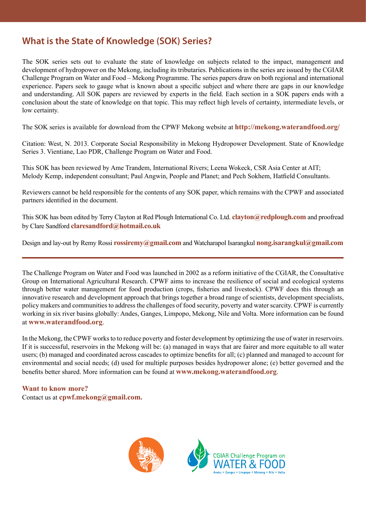# **What is the State of Knowledge (SOK) Series?**

The SOK series sets out to evaluate the state of knowledge on subjects related to the impact, management and development of hydropower on the Mekong, including its tributaries. Publications in the series are issued by the CGIAR Challenge Program on Water and Food – Mekong Programme. The series papers draw on both regional and international experience. Papers seek to gauge what is known about a specific subject and where there are gaps in our knowledge and understanding. All SOK papers are reviewed by experts in the field. Each section in a SOK papers ends with a conclusion about the state of knowledge on that topic. This may reflect high levels of certainty, intermediate levels, or low certainty.

The SOK series is available for download from the CPWF Mekong website at **http://mekong.waterandfood.org/**

Citation: West, N. 2013. Corporate Social Responsibility in Mekong Hydropower Development. State of Knowledge Series 3. Vientiane, Lao PDR, Challenge Program on Water and Food.

This SOK has been reviewed by Ame Trandem, International Rivers; Leena Wokeck, CSR Asia Center at AIT; Melody Kemp, independent consultant; Paul Angwin, People and Planet; and Pech Sokhem, Hatfield Consultants.

Reviewers cannot be held responsible for the contents of any SOK paper, which remains with the CPWF and associated partners identified in the document.

This SOK has been edited by Terry Clayton at Red Plough International Co. Ltd. **clayton@redplough.com** and proofread by Clare Sandford **claresandford@hotmail.co.uk** 

Design and lay-out by Remy Rossi **rossiremy@gmail.com** and Watcharapol Isarangkul **nong.isarangkul@gmail.com** 

The Challenge Program on Water and Food was launched in 2002 as a reform initiative of the CGIAR, the Consultative Group on International Agricultural Research. CPWF aims to increase the resilience of social and ecological systems through better water management for food production (crops, fisheries and livestock). CPWF does this through an innovative research and development approach that brings together a broad range of scientists, development specialists, policy makers and communities to address the challenges of food security, poverty and water scarcity. CPWF is currently working in six river basins globally: Andes, Ganges, Limpopo, Mekong, Nile and Volta. More information can be found at **www.waterandfood.org**.

In the Mekong, the CPWF works to to reduce poverty and foster development by optimizing the use of water in reservoirs. If it is successful, reservoirs in the Mekong will be: (a) managed in ways that are fairer and more equitable to all water users; (b) managed and coordinated across cascades to optimize benefits for all; (c) planned and managed to account for environmental and social needs; (d) used for multiple purposes besides hydropower alone; (e) better governed and the benefits better shared. More information can be found at **www.mekong.waterandfood.org**.

# **Want to know more?**

Contact us at **cpwf.mekong@gmail.com.**